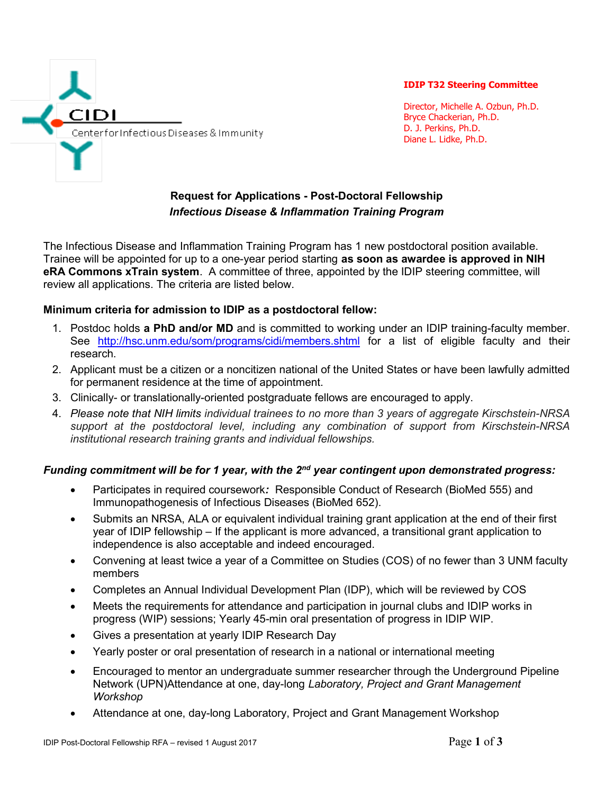

IDIP T32 Steering Committee

Director, Michelle A. Ozbun, Ph.D. Bryce Chackerian, Ph.D. D. J. Perkins, Ph.D. Diane L. Lidke, Ph.D.

# Request for Applications - Post-Doctoral Fellowship Infectious Disease & Inflammation Training Program

The Infectious Disease and Inflammation Training Program has 1 new postdoctoral position available. Trainee will be appointed for up to a one-year period starting as soon as awardee is approved in NIH eRA Commons xTrain system. A committee of three, appointed by the IDIP steering committee, will review all applications. The criteria are listed below.

# Minimum criteria for admission to IDIP as a postdoctoral fellow:

- 1. Postdoc holds a PhD and/or MD and is committed to working under an IDIP training-faculty member. See http://hsc.unm.edu/som/programs/cidi/members.shtml for a list of eligible faculty and their research.
- 2. Applicant must be a citizen or a noncitizen national of the United States or have been lawfully admitted for permanent residence at the time of appointment.
- 3. Clinically- or translationally-oriented postgraduate fellows are encouraged to apply.
- 4. Please note that NIH limits individual trainees to no more than 3 years of aggregate Kirschstein-NRSA support at the postdoctoral level, including any combination of support from Kirschstein-NRSA institutional research training grants and individual fellowships.

# Funding commitment will be for 1 year, with the  $2<sup>nd</sup>$  year contingent upon demonstrated progress:

- Participates in required coursework: Responsible Conduct of Research (BioMed 555) and Immunopathogenesis of Infectious Diseases (BioMed 652).
- Submits an NRSA, ALA or equivalent individual training grant application at the end of their first year of IDIP fellowship – If the applicant is more advanced, a transitional grant application to independence is also acceptable and indeed encouraged.
- Convening at least twice a year of a Committee on Studies (COS) of no fewer than 3 UNM faculty members
- Completes an Annual Individual Development Plan (IDP), which will be reviewed by COS
- Meets the requirements for attendance and participation in journal clubs and IDIP works in progress (WIP) sessions; Yearly 45-min oral presentation of progress in IDIP WIP.
- Gives a presentation at yearly IDIP Research Day
- Yearly poster or oral presentation of research in a national or international meeting
- Encouraged to mentor an undergraduate summer researcher through the Underground Pipeline Network (UPN)Attendance at one, day-long Laboratory, Project and Grant Management Workshop
- Attendance at one, day-long Laboratory, Project and Grant Management Workshop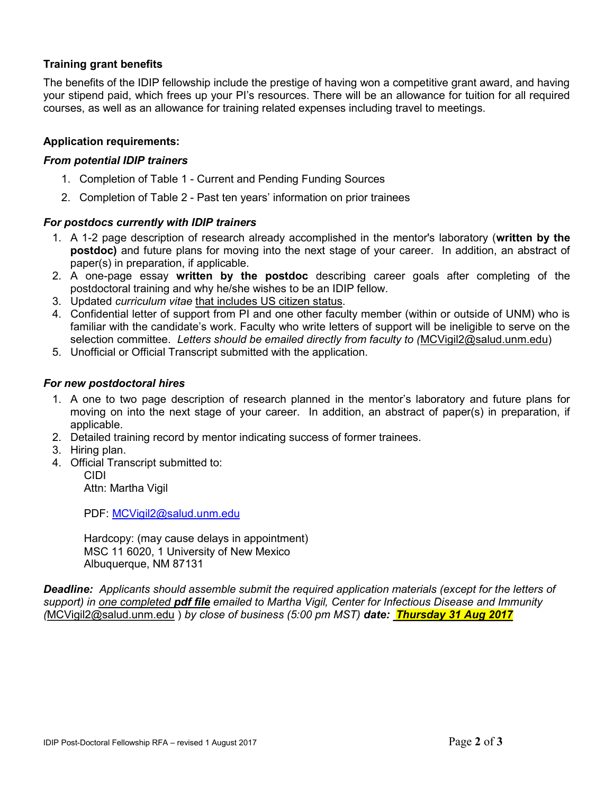# Training grant benefits

The benefits of the IDIP fellowship include the prestige of having won a competitive grant award, and having your stipend paid, which frees up your PI's resources. There will be an allowance for tuition for all required courses, as well as an allowance for training related expenses including travel to meetings.

### Application requirements:

#### From potential IDIP trainers

- 1. Completion of Table 1 Current and Pending Funding Sources
- 2. Completion of Table 2 Past ten years' information on prior trainees

#### For postdocs currently with IDIP trainers

- 1. A 1-2 page description of research already accomplished in the mentor's laboratory (written by the postdoc) and future plans for moving into the next stage of your career. In addition, an abstract of paper(s) in preparation, if applicable.
- 2. A one-page essay written by the postdoc describing career goals after completing of the postdoctoral training and why he/she wishes to be an IDIP fellow.
- 3. Updated curriculum vitae that includes US citizen status.
- 4. Confidential letter of support from PI and one other faculty member (within or outside of UNM) who is familiar with the candidate's work. Faculty who write letters of support will be ineligible to serve on the selection committee. Letters should be emailed directly from faculty to (MCVigil2@salud.unm.edu)
- 5. Unofficial or Official Transcript submitted with the application.

#### For new postdoctoral hires

- 1. A one to two page description of research planned in the mentor's laboratory and future plans for moving on into the next stage of your career. In addition, an abstract of paper(s) in preparation, if applicable.
- 2. Detailed training record by mentor indicating success of former trainees.
- 3. Hiring plan.
- 4. Official Transcript submitted to:

CIDI Attn: Martha Vigil

PDF: MCVigil2@salud.unm.edu

Hardcopy: (may cause delays in appointment) MSC 11 6020, 1 University of New Mexico Albuquerque, NM 87131

Deadline: Applicants should assemble submit the required application materials (except for the letters of support) in one completed **pdf file** emailed to Martha Vigil, Center for Infectious Disease and Immunity (MCVigil2@salud.unm.edu) by close of business (5:00 pm MST) date: Thursday 31 Aug 2017